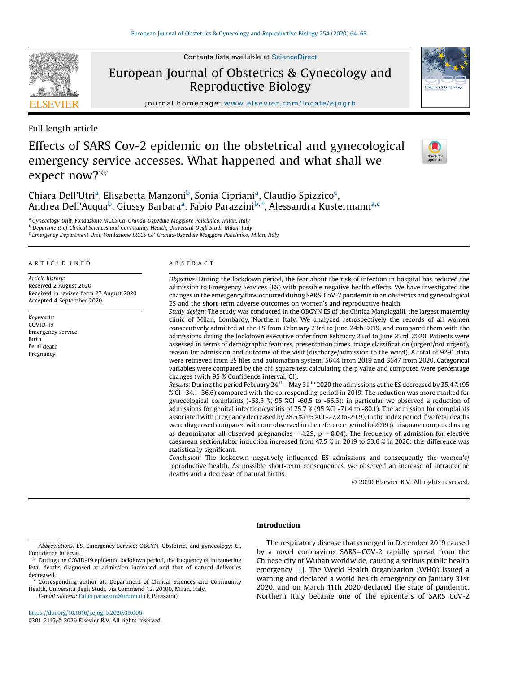Contents lists available at ScienceDirect

European Journal of Obstetrics & Gynecology and Reproductive Biology

journal homepage: <www.elsevier.com/locate/ejogrb>

Full length article

**SEVIER** 

Effects of SARS Cov-2 epidemic on the obstetrical and gynecological emergency service accesses. What happened and what shall we expect now? $\mathbb{R}$ 

Chiara Dell'Utri<sup>a</sup>, Elisabetta Manzoni<sup>b</sup>, Sonia Cipriani<sup>a</sup>, Claudio Spizzico<sup>c</sup>, Andrea Dell'Acqua<sup>b</sup>, Giussy Barbara<sup>a</sup>, Fabio Parazzini<sup>b,\*</sup>, Alessandra Kustermann<sup>a,c</sup>

<sup>a</sup> Gynecology Unit, Fondazione IRCCS Ca' Granda-Ospedale Maggiore Policlinico, Milan, Italy<br><sup>b</sup> Department of Clinical Sciences and Community Health, Università Degli Studi, Milan, Italy

Emergency Department Unit, Fondazione IRCCS Ca' Granda-Ospedale Maggiore Policlinico, Milan, Italy

## A R T I C L E I N F O

Article history: Received 2 August 2020 Received in revised form 27 August 2020 Accepted 4 September 2020

Keywords: COVID-19 Emergency service Birth Fetal death Pregnancy



Objective: During the lockdown period, the fear about the risk of infection in hospital has reduced the admission to Emergency Services (ES) with possible negative health effects. We have investigated the changes in the emergency flow occurred during SARS-CoV-2 pandemic in an obstetrics and gynecological ES and the short-term adverse outcomes on women's and reproductive health.

Study design: The study was conducted in the OBGYN ES of the Clinica Mangiagalli, the largest maternity clinic of Milan, Lombardy, Northern Italy. We analyzed retrospectively the records of all women consecutively admitted at the ES from February 23rd to June 24th 2019, and compared them with the admissions during the lockdown executive order from February 23rd to June 23rd, 2020. Patients were assessed in terms of demographic features, presentation times, triage classification (urgent/not urgent), reason for admission and outcome of the visit (discharge/admission to the ward). A total of 9291 data were retrieved from ES files and automation system, 5644 from 2019 and 3647 from 2020. Categorical variables were compared by the chi-square test calculating the p value and computed were percentage changes (with 95 % Confidence interval, CI).

Results: During the period February 24<sup>th</sup> - May 31<sup>th</sup> 2020 the admissions at the ES decreased by 35.4 % (95 % CI—34.1–36.6) compared with the corresponding period in 2019. The reduction was more marked for gynecological complaints (-63.5 %, 95 %CI -60.5 to -66.5): in particular we observed a reduction of admissions for genital infection/cystitis of 75.7 % (95 %CI -71.4 to -80.1). The admission for complaints associated with pregnancy decreased by 28.5 % (95 %CI -27.2 to-29.9). In the index period, five fetal deaths were diagnosed compared with one observed in the reference period in 2019 (chi square computed using as denominator all observed pregnancies =  $4.29$ ,  $p = 0.04$ ). The frequency of admission for elective caesarean section/labor induction increased from 47.5 % in 2019 to 53.6 % in 2020: this difference was statistically significant.

Conclusion: The lockdown negatively influenced ES admissions and consequently the women's/ reproductive health. As possible short-term consequences, we observed an increase of intrauterine deaths and a decrease of natural births.

© 2020 Elsevier B.V. All rights reserved.

# Introduction

E-mail address: [Fabio.parazzini@unimi.it](mailto:Fabio.parazzini@unimi.it) (F. Parazzini).

The respiratory disease that emerged in December 2019 caused by a novel coronavirus SARS-COV-2 rapidly spread from the Chinese city of Wuhan worldwide, causing a serious public health emergency [\[1](#page-4-0)]. The World Health Organization (WHO) issued a warning and declared a world health emergency on January 31st 2020, and on March 11th 2020 declared the state of pandemic. Northern Italy became one of the epicenters of SARS CoV-2





Abbreviations: ES, Emergency Service; OBGYN, Obstetrics and gynecology; CI, Confidence Interval.

During the COVID-19 epidemic lockdown period, the frequency of intrauterine fetal deaths diagnosed at admission increased and that of natural deliveries decreased.

<sup>\*</sup> Corresponding author at: Department of Clinical Sciences and Community Health, Università degli Studi, via Commend 12, 20100, Milan, Italy.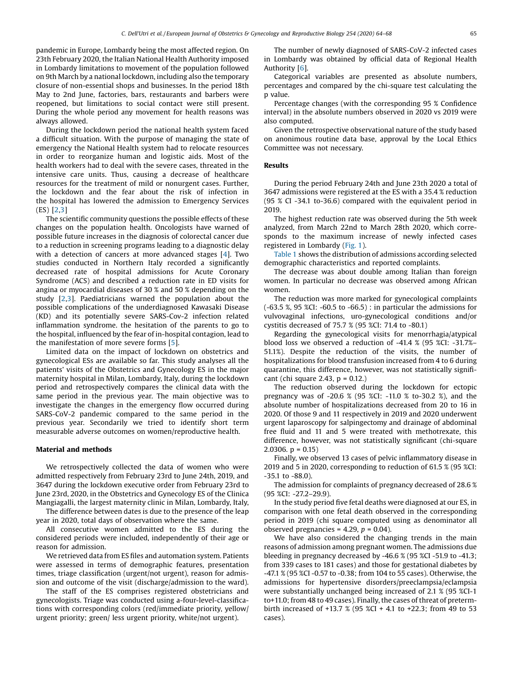pandemic in Europe, Lombardy being the most affected region. On 23th February 2020, the Italian National Health Authority imposed in Lombardy limitations to movement of the population followed on 9th March by a national lockdown, including also the temporary closure of non-essential shops and businesses. In the period 18th May to 2nd June, factories, bars, restaurants and barbers were reopened, but limitations to social contact were still present. During the whole period any movement for health reasons was always allowed.

During the lockdown period the national health system faced a difficult situation. With the purpose of managing the state of emergency the National Health system had to relocate resources in order to reorganize human and logistic aids. Most of the health workers had to deal with the severe cases, threated in the intensive care units. Thus, causing a decrease of healthcare resources for the treatment of mild or nonurgent cases. Further, the lockdown and the fear about the risk of infection in the hospital has lowered the admission to Emergency Services (ES) [\[2,3](#page-4-0)]

The scientific community questions the possible effects of these changes on the population health. Oncologists have warned of possible future increases in the diagnosis of colorectal cancer due to a reduction in screening programs leading to a diagnostic delay with a detection of cancers at more advanced stages [\[4](#page-4-0)]. Two studies conducted in Northern Italy recorded a significantly decreased rate of hospital admissions for Acute Coronary Syndrome (ACS) and described a reduction rate in ED visits for angina or myocardial diseases of 30 % and 50 % depending on the study [\[2,3](#page-4-0)]. Paediatricians warned the population about the possible complications of the underdiagnosed Kawasaki Disease (KD) and its potentially severe SARS-Cov-2 infection related inflammation syndrome. the hesitation of the parents to go to the hospital, influenced by the fear of in-hospital contagion, lead to the manifestation of more severe forms [[5\]](#page-4-0).

Limited data on the impact of lockdown on obstetrics and gynecological ESs are available so far. This study analyses all the patients' visits of the Obstetrics and Gynecology ES in the major maternity hospital in Milan, Lombardy, Italy, during the lockdown period and retrospectively compares the clinical data with the same period in the previous year. The main objective was to investigate the changes in the emergency flow occurred during SARS-CoV-2 pandemic compared to the same period in the previous year. Secondarily we tried to identify short term measurable adverse outcomes on women/reproductive health.

## Material and methods

We retrospectively collected the data of women who were admitted respectively from February 23rd to June 24th, 2019, and 3647 during the lockdown executive order from February 23rd to June 23rd, 2020, in the Obstetrics and Gynecology ES of the Clinica Mangiagalli, the largest maternity clinic in Milan, Lombardy, Italy,

The difference between dates is due to the presence of the leap year in 2020, total days of observation where the same.

All consecutive women admitted to the ES during the considered periods were included, independently of their age or reason for admission.

We retrieved data from ES files and automation system. Patients were assessed in terms of demographic features, presentation times, triage classification (urgent/not urgent), reason for admission and outcome of the visit (discharge/admission to the ward).

The staff of the ES comprises registered obstetricians and gynecologists. Triage was conducted using a-four-level-classifications with corresponding colors (red/immediate priority, yellow/ urgent priority; green/ less urgent priority, white/not urgent).

The number of newly diagnosed of SARS-CoV-2 infected cases in Lombardy was obtained by official data of Regional Health Authority [[6\]](#page-4-0).

Categorical variables are presented as absolute numbers, percentages and compared by the chi-square test calculating the p value.

Percentage changes (with the corresponding 95 % Confidence interval) in the absolute numbers observed in 2020 vs 2019 were also computed.

Given the retrospective observational nature of the study based on anonimous routine data base, approval by the Local Ethics Committee was not necessary.

### Results

During the period February 24th and June 23th 2020 a total of 3647 admissions were registered at the ES with a 35.4 % reduction (95 % CI -34.1 to-36.6) compared with the equivalent period in 2019.

The highest reduction rate was observed during the 5th week analyzed, from March 22nd to March 28th 2020, which corresponds to the maximum increase of newly infected cases registered in Lombardy [\(Fig.](#page-2-0) 1).

[Table](#page-3-0) 1 shows the distribution of admissions according selected demographic characteristics and reported complaints.

The decrease was about double among Italian than foreign women. In particular no decrease was observed among African women.

The reduction was more marked for gynecological complaints (-63.5 %, 95 %CI: -60.5 to -66.5) : in particular the admissions for vulvovaginal infections, uro-gynecological conditions and/or cystitis decreased of 75.7 % (95 %CI: 71.4 to -80.1)

Regarding the gynecological visits for menorrhagia/atypical blood loss we observed a reduction of -41.4 % (95 %CI: -31.7%– 51.1%). Despite the reduction of the visits, the number of hospitalizations for blood transfusion increased from 4 to 6 during quarantine, this difference, however, was not statistically significant (chi square 2.43,  $p = 0.12$ .)

The reduction observed during the lockdown for ectopic pregnancy was of -20.6 % (95 %CI: -11.0 % to-30.2 %), and the absolute number of hospitalizations decreased from 20 to 16 in 2020. Of those 9 and 11 respectively in 2019 and 2020 underwent urgent laparoscopy for salpingectomy and drainage of abdominal free fluid and 11 and 5 were treated with methotrexate, this difference, however, was not statistically significant (chi-square 2.0306.  $p = 0.15$ 

Finally, we observed 13 cases of pelvic inflammatory disease in 2019 and 5 in 2020, corresponding to reduction of 61.5 % (95 %CI: -35.1 to -88.0).

The admission for complaints of pregnancy decreased of 28.6 % (95 %CI: -27.2–29.9).

In the study period five fetal deaths were diagnosed at our ES, in comparison with one fetal death observed in the corresponding period in 2019 (chi square computed using as denominator all observed pregnancies = 4.29,  $p = 0.04$ ).

We have also considered the changing trends in the main reasons of admission among pregnant women. The admissions due bleeding in pregnancy decreased by -46.6 % (95 %CI -51.9 to -41.3; from 339 cases to 181 cases) and those for gestational diabetes by -47.1 % (95 %CI -0.57 to -0.38; from 104 to 55 cases). Otherwise, the admissions for hypertensive disorders/preeclampsia/eclampsia were substantially unchanged being increased of 2.1 % (95 %CI-1 to+11.0; from 48 to 49 cases). Finally, the cases of threat of pretermbirth increased of +13.7 % (95 %CI + 4.1 to +22.3; from 49 to 53 cases).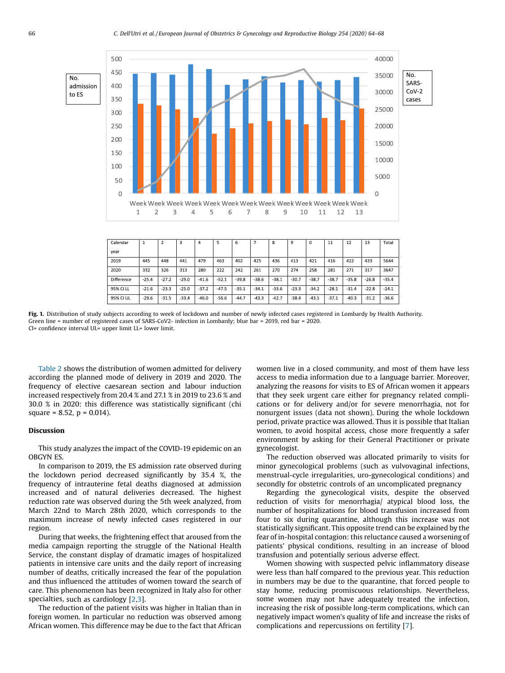<span id="page-2-0"></span>

| Calendar   |         | $\overline{2}$ | 3       | 4       |         | 6       |         | 8       | 9       | 0       | 11      | 12      | 13      | Total   |
|------------|---------|----------------|---------|---------|---------|---------|---------|---------|---------|---------|---------|---------|---------|---------|
| year       |         |                |         |         |         |         |         |         |         |         |         |         |         |         |
| 2019       | 445     | 448            | 441     | 479     | 463     | 402     | 425     | 436     | 413     | 421     | 416     | 422     | 433     | 5644    |
| 2020       | 332     | 326            | 313     | 280     | 222     | 242     | 261     | 270     | 274     | 258     | 281     | 271     | 317     | 3647    |
| Difference | $-25.4$ | $-27.2$        | $-29.0$ | $-41.6$ | $-52.1$ | $-39.8$ | $-38.6$ | $-38.1$ | $-30.7$ | $-38.7$ | $-38.7$ | $-35.8$ | $-26.8$ | $-35.4$ |
| 95% CI LL  | $-21.6$ | $-23.3$        | $-25.0$ | $-37.2$ | $-47.5$ | $-35.1$ | $-34.1$ | $-33.6$ | $-23.3$ | $-34.2$ | $-28.1$ | $-31.4$ | $-22.8$ | $-24.1$ |
| 95% CI UL  | $-29.6$ | $-31.5$        | $-33.4$ | $-46.0$ | $-56.6$ | $-44.7$ | $-43.3$ | $-42.7$ | $-38.4$ | $-43.5$ | $-37.1$ | $-40.3$ | $-31.2$ | $-36.6$ |

Fig. 1. Distribution of study subjects according to week of lockdown and number of newly infected cases registered in Lombardy by Health Authority. Green line = number of registered cases of SARS-CoV2- infection in Lombardy; blue bar = 2019, red bar = 2020. CI= confidence interval UL= upper limit LL= lower limit.

[Table](#page-3-0) 2 shows the distribution of women admitted for delivery according the planned mode of delivery in 2019 and 2020. The frequency of elective caesarean section and labour induction increased respectively from 20.4 % and 27.1 % in 2019 to 23.6 % and 30.0 % in 2020: this difference was statistically significant (chi square = 8.52,  $p = 0.014$ ).

### Discussion

This study analyzes the impact of the COVID-19 epidemic on an OBGYN ES.

In comparison to 2019, the ES admission rate observed during the lockdown period decreased significantly by 35.4 %, the frequency of intrauterine fetal deaths diagnosed at admission increased and of natural deliveries decreased. The highest reduction rate was observed during the 5th week analyzed, from March 22nd to March 28th 2020, which corresponds to the maximum increase of newly infected cases registered in our region.

During that weeks, the frightening effect that aroused from the media campaign reporting the struggle of the National Health Service, the constant display of dramatic images of hospitalized patients in intensive care units and the daily report of increasing number of deaths, critically increased the fear of the population and thus influenced the attitudes of women toward the search of care. This phenomenon has been recognized in Italy also for other specialties, such as cardiology [\[2,3](#page-4-0)].

The reduction of the patient visits was higher in Italian than in foreign women. In particular no reduction was observed among African women. This difference may be due to the fact that African women live in a closed community, and most of them have less access to media information due to a language barrier. Moreover, analyzing the reasons for visits to ES of African women it appears that they seek urgent care either for pregnancy related complications or for delivery and/or for severe menorrhagia, not for nonurgent issues (data not shown). During the whole lockdown period, private practice was allowed. Thus it is possible that Italian women, to avoid hospital access, chose more frequently a safer environment by asking for their General Practitioner or private gynecologist.

The reduction observed was allocated primarily to visits for minor gynecological problems (such as vulvovaginal infections, menstrual-cycle irregularities, uro-gynecological conditions) and secondly for obstetric controls of an uncomplicated pregnancy

Regarding the gynecological visits, despite the observed reduction of visits for menorrhagia/ atypical blood loss, the number of hospitalizations for blood transfusion increased from four to six during quarantine, although this increase was not statistically significant. This opposite trend can be explained by the fear of in-hospital contagion: this reluctance caused a worsening of patients' physical conditions, resulting in an increase of blood transfusion and potentially serious adverse effect.

Women showing with suspected pelvic inflammatory disease were less than half compared to the previous year. This reduction in numbers may be due to the quarantine, that forced people to stay home, reducing promiscuous relationships. Nevertheless, some women may not have adequately treated the infection, increasing the risk of possible long-term complications, which can negatively impact women's quality of life and increase the risks of complications and repercussions on fertility [\[7](#page-4-0)].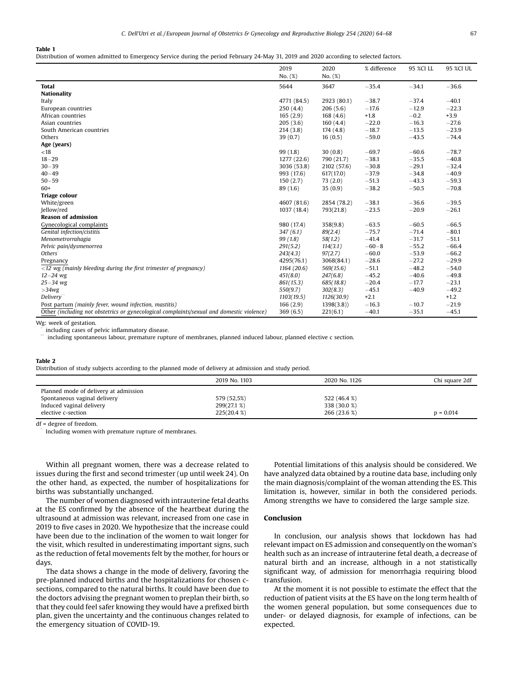#### <span id="page-3-0"></span>Table 1

Distribution of women admitted to Emergency Service during the period February 24-May 31, 2019 and 2020 according to selected factors.

|                                                                                           | 2019<br>No. (%) | 2020<br>No. (%) | % difference | 95 %CI LL | 95 %CI UL |
|-------------------------------------------------------------------------------------------|-----------------|-----------------|--------------|-----------|-----------|
| <b>Total</b>                                                                              | 5644            | 3647            | $-35.4$      | $-34.1$   | $-36.6$   |
| <b>Nationality</b>                                                                        |                 |                 |              |           |           |
| Italy                                                                                     | 4771 (84.5)     | 2923 (80.1)     | $-38.7$      | $-37.4$   | $-40.1$   |
| European countries                                                                        | 250(4.4)        | 206(5.6)        | $-17.6$      | $-12.9$   | $-22.3$   |
| African countries                                                                         | 165(2.9)        | 168(4.6)        | $+1.8$       | $-0.2$    | $+3.9$    |
| Asian countries                                                                           | 205(3.6)        | 160(4.4)        | $-22.0$      | $-16.3$   | $-27.6$   |
| South American countries                                                                  | 214(3.8)        | 174(4.8)        | $-18.7$      | $-13.5$   | $-23.9$   |
| Others                                                                                    | 39(0.7)         | 16(0.5)         | $-59.0$      | $-43.5$   | $-74.4$   |
| Age (years)                                                                               |                 |                 |              |           |           |
| < 18                                                                                      | 99(1.8)         | 30(0.8)         | $-69.7$      | $-60.6$   | $-78.7$   |
| $18 - 29$                                                                                 | 1277 (22.6)     | 790 (21.7)      | $-38.1$      | $-35.5$   | $-40.8$   |
| $30 - 39$                                                                                 | 3036 (53.8)     | 2102 (57.6)     | $-30.8$      | $-29.1$   | $-32.4$   |
| $40 - 49$                                                                                 | 993 (17.6)      | 617(17.0)       | $-37.9$      | $-34.8$   | $-40.9$   |
| $50 - 59$                                                                                 | 150(2.7)        | 73(2.0)         | $-51.3$      | $-43.3$   | $-59.3$   |
| $60+$                                                                                     | 89 (1.6)        | 35(0.9)         | $-38.2$      | $-50.5$   | $-70.8$   |
| <b>Triage colour</b>                                                                      |                 |                 |              |           |           |
| White/green                                                                               | 4607 (81.6)     | 2854 (78.2)     | $-38.1$      | $-36.6$   | $-39.5$   |
| Jellow/red                                                                                | 1037 (18.4)     | 793(21.8)       | $-23.5$      | $-20.9$   | $-26.1$   |
| <b>Reason of admission</b>                                                                |                 |                 |              |           |           |
| Gynecological complaints                                                                  | 980 (17.4)      | 358(9.8)        | $-63.5$      | $-60.5$   | $-66.5$   |
| Genital infection/cistitis                                                                | 347(6.1)        | 89(2.4)         | $-75.7$      | $-71.4$   | $-80.1$   |
| Menometrorrahagia                                                                         | 99(1.8)         | 58(1.2)         | $-41.4$      | $-31.7$   | $-51.1$   |
| Pelvic pain/dysmenorrea                                                                   | 291(5.2)        | 114(3.1)        | $-60 - 8$    | $-55.2$   | $-66.4$   |
| Others                                                                                    | 243(4.3)        | 97(2.7)         | $-60.0$      | $-53.9$   | $-66.2$   |
| Pregnancy                                                                                 | 4295(76.1)      | 3068(84.1)      | $-28.6$      | $-27.2$   | $-29.9$   |
| $\sqrt{12}$ wg (mainly bleeding during the first trimester of pregnancy)                  | 1164(20.6)      | 569(15.6)       | $-51.1$      | $-48.2$   | $-54.0$   |
| $12 - 24$ wg                                                                              | 451(8.0)        | 247(6.8)        | $-45.2$      | $-40.6$   | $-49.8$   |
| $25 - 34$ wg                                                                              | 861(15.3)       | 685(18.8)       | $-20.4$      | $-17.7$   | $-23.1$   |
| $>34$ wg                                                                                  | 550(9.7)        | 302(8.3)        | $-45.1$      | $-40.9$   | $-49.2$   |
| Delivery                                                                                  | 1103(19.5)      | 1126(30.9)      | $+2.1$       |           | $+1.2$    |
| Post partum (mainly fever, wound infection, mastitis)                                     | 166(2.9)        | 1398(3.8)       | $-16.3$      | $-10.7$   | $-21.9$   |
| Other (including not obstetrics or gynecological complaints/sexual and domestic violence) | 369(6.5)        | 221(6.1)        | $-40.1$      | $-35.1$   | $-45.1$   |

Wg: week of gestation.

 $^{\circ}$ including cases of pelvic inflammatory disease.

 $^{\circ}$ including spontaneous labour, premature rupture of membranes, planned induced labour, planned elective c section.

#### Table 2

 $^{\circ}$ 

Distribution of study subjects according to the planned mode of delivery at admission and study period.

|                                       | 2019 No. 1103 | 2020 No. 1126 | Chi square 2df |
|---------------------------------------|---------------|---------------|----------------|
| Planned mode of delivery at admission |               |               |                |
| Spontaneous vaginal delivery          | 579 (52,5%)   | 522 (46.4 %)  |                |
| Induced vaginal delivery              | 299(27.1 %)   | 338 (30.0 %)  |                |
| elective c-section                    | 225(20.4 %)   | 266 (23.6 %)  | $p = 0.014$    |

df = degree of freedom.

Including women with premature rupture of membranes.

Within all pregnant women, there was a decrease related to issues during the first and second trimester (up until week 24). On the other hand, as expected, the number of hospitalizations for births was substantially unchanged.

The number of women diagnosed with intrauterine fetal deaths at the ES confirmed by the absence of the heartbeat during the ultrasound at admission was relevant, increased from one case in 2019 to five cases in 2020. We hypothesize that the increase could have been due to the inclination of the women to wait longer for the visit, which resulted in underestimating important signs, such as the reduction of fetal movements felt by the mother, for hours or days.

The data shows a change in the mode of delivery, favoring the pre-planned induced births and the hospitalizations for chosen csections, compared to the natural births. It could have been due to the doctors advising the pregnant women to preplan their birth, so that they could feel safer knowing they would have a prefixed birth plan, given the uncertainty and the continuous changes related to the emergency situation of COVID-19.

Potential limitations of this analysis should be considered. We have analyzed data obtained by a routine data base, including only the main diagnosis/complaint of the woman attending the ES. This limitation is, however, similar in both the considered periods. Among strengths we have to considered the large sample size.

### Conclusion

In conclusion, our analysis shows that lockdown has had relevant impact on ES admission and consequently on the woman's health such as an increase of intrauterine fetal death, a decrease of natural birth and an increase, although in a not statistically significant way, of admission for menorrhagia requiring blood transfusion.

At the moment it is not possible to estimate the effect that the reduction of patient visits at the ES have on the long term health of the women general population, but some consequences due to under- or delayed diagnosis, for example of infections, can be expected.